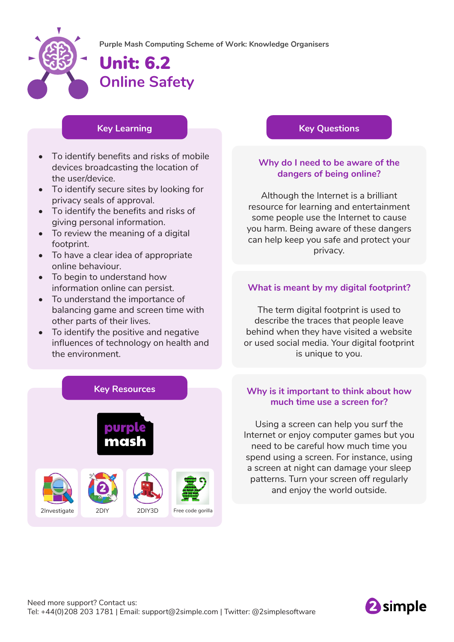

# Unit: 6.2 **Online Safety**

### **Key Learning**

- To identify benefits and risks of mobile devices broadcasting the location of the user/device.
- To identify secure sites by looking for privacy seals of approval.
- To identify the benefits and risks of giving personal information.
- To review the meaning of a digital footprint.
- To have a clear idea of appropriate online behaviour.
- To begin to understand how information online can persist.
- To understand the importance of balancing game and screen time with other parts of their lives.
- To identify the positive and negative influences of technology on health and the environment.



### **Key Questions**

### **Why do I need to be aware of the dangers of being online?**

Although the Internet is a brilliant resource for learning and entertainment some people use the Internet to cause you harm. Being aware of these dangers can help keep you safe and protect your privacy.

### **What is meant by my digital footprint?**

The term digital footprint is used to describe the traces that people leave behind when they have visited a website or used social media. Your digital footprint is unique to you.

### **Why is it important to think about how much time use a screen for?**

Using a screen can help you surf the Internet or enjoy computer games but you need to be careful how much time you spend using a screen. For instance, using a screen at night can damage your sleep patterns. Turn your screen off regularly and enjoy the world outside.